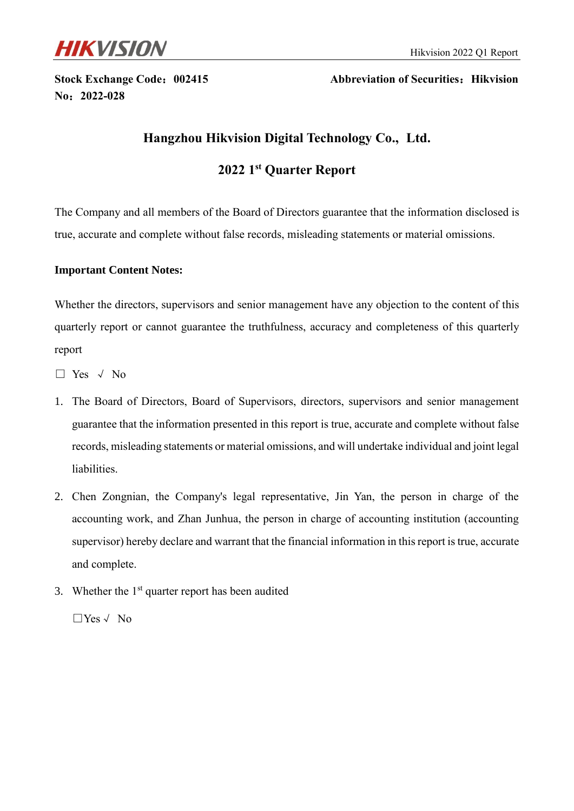

**No**:**2022-028**

**Stock Exchange Code: 002415** Abbreviation of Securities: Hikvision

# **Hangzhou Hikvision Digital Technology Co., Ltd.**

# **2022 1 st Quarter Report**

The Company and all members of the Board of Directors guarantee that the information disclosed is true, accurate and complete without false records, misleading statements or material omissions.

### **Important Content Notes:**

Whether the directors, supervisors and senior management have any objection to the content of this quarterly report or cannot guarantee the truthfulness, accuracy and completeness of this quarterly report

- □ Yes √ No
- 1. The Board of Directors, Board of Supervisors, directors, supervisors and senior management guarantee that the information presented in this report is true, accurate and complete without false records, misleading statements or material omissions, and will undertake individual and joint legal liabilities.
- 2. Chen Zongnian, the Company's legal representative, Jin Yan, the person in charge of the accounting work, and Zhan Junhua, the person in charge of accounting institution (accounting supervisor) hereby declare and warrant that the financial information in this report is true, accurate and complete.
- 3. Whether the  $1<sup>st</sup>$  quarter report has been audited

□Yes√ No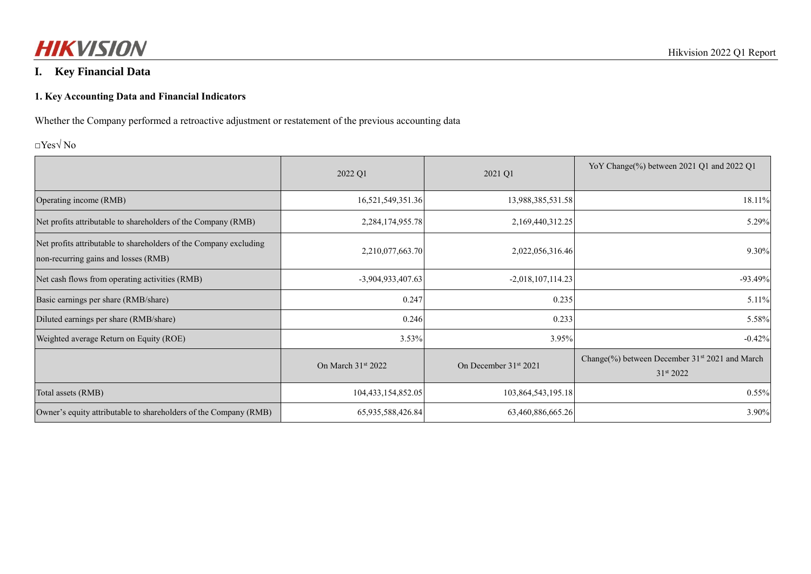

# **I. Key Financial Data**

#### **1. Key Accounting Data and Financial Indicators**

Whether the Company performed a retroactive adjustment or restatement of the previous accounting data

### □Yes√ No

|                                                                                                           | 2022 Q1              | 2021 Q1                           | YoY Change(%) between 2021 Q1 and 2022 Q1                               |
|-----------------------------------------------------------------------------------------------------------|----------------------|-----------------------------------|-------------------------------------------------------------------------|
| Operating income (RMB)                                                                                    | 16,521,549,351.36    | 13,988,385,531.58                 | 18.11%                                                                  |
| Net profits attributable to shareholders of the Company (RMB)                                             | 2,284,174,955.78     | 2,169,440,312.25                  | 5.29%                                                                   |
| Net profits attributable to shareholders of the Company excluding<br>non-recurring gains and losses (RMB) | 2,210,077,663.70     | 2,022,056,316.46                  | 9.30%                                                                   |
| Net cash flows from operating activities (RMB)                                                            | -3,904,933,407.63    | $-2,018,107,114.23$               | $-93.49%$                                                               |
| Basic earnings per share (RMB/share)                                                                      | 0.247                | 0.235                             | 5.11%                                                                   |
| Diluted earnings per share (RMB/share)                                                                    | 0.246                | 0.233                             | 5.58%                                                                   |
| Weighted average Return on Equity (ROE)                                                                   | 3.53%                | 3.95%                             | $-0.42%$                                                                |
|                                                                                                           | On March $31st 2022$ | On December 31 <sup>st</sup> 2021 | Change(%) between December 31 <sup>st</sup> 2021 and March<br>31st 2022 |
| Total assets (RMB)                                                                                        | 104,433,154,852.05   | 103,864,543,195.18                | $0.55\%$                                                                |
| Owner's equity attributable to shareholders of the Company (RMB)                                          | 65,935,588,426.84    | 63,460,886,665.26                 | 3.90%                                                                   |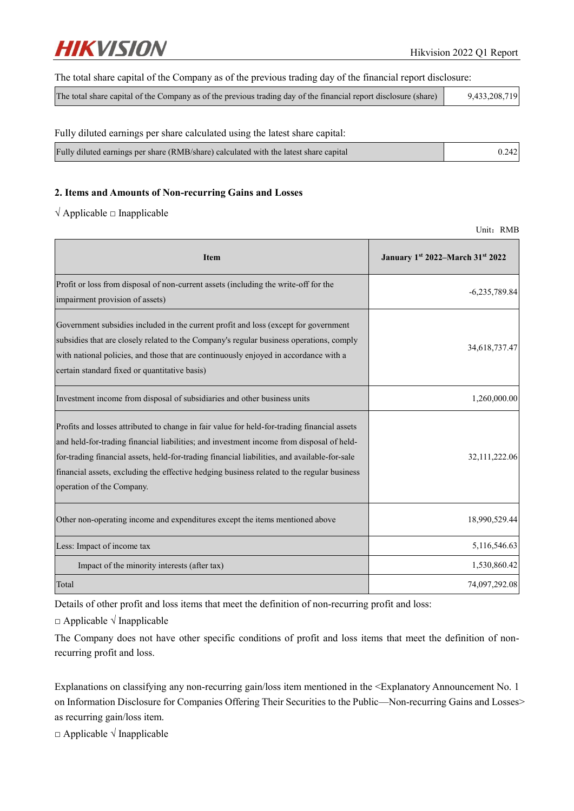

#### The total share capital of the Company as of the previous trading day of the financial report disclosure:

| 9,433,208,719<br>The total share capital of the Company as of the previous trading day of the financial report disclosure (share) |
|-----------------------------------------------------------------------------------------------------------------------------------|
|-----------------------------------------------------------------------------------------------------------------------------------|

#### Fully diluted earnings per share calculated using the latest share capital:

| Fully diluted earnings per share (RMB/share) calculated with the latest share capital | 0.242 |
|---------------------------------------------------------------------------------------|-------|
|                                                                                       |       |

#### **2. Items and Amounts of Non-recurring Gains and Losses**

 $\sqrt{\text{Applied}}$  a Inapplicable

Unit: RMB

| <b>Item</b>                                                                                                                                                                                                                                                                                                                                                                                                        | January 1st 2022-March 31st 2022 |
|--------------------------------------------------------------------------------------------------------------------------------------------------------------------------------------------------------------------------------------------------------------------------------------------------------------------------------------------------------------------------------------------------------------------|----------------------------------|
| Profit or loss from disposal of non-current assets (including the write-off for the<br>impairment provision of assets)                                                                                                                                                                                                                                                                                             | $-6,235,789.84$                  |
| Government subsidies included in the current profit and loss (except for government<br>subsidies that are closely related to the Company's regular business operations, comply<br>with national policies, and those that are continuously enjoyed in accordance with a<br>certain standard fixed or quantitative basis)                                                                                            | 34,618,737.47                    |
| Investment income from disposal of subsidiaries and other business units                                                                                                                                                                                                                                                                                                                                           | 1,260,000.00                     |
| Profits and losses attributed to change in fair value for held-for-trading financial assets<br>and held-for-trading financial liabilities; and investment income from disposal of held-<br>for-trading financial assets, held-for-trading financial liabilities, and available-for-sale<br>financial assets, excluding the effective hedging business related to the regular business<br>operation of the Company. | 32,111,222.06                    |
| Other non-operating income and expenditures except the items mentioned above                                                                                                                                                                                                                                                                                                                                       | 18,990,529.44                    |
| Less: Impact of income tax                                                                                                                                                                                                                                                                                                                                                                                         | 5,116,546.63                     |
| Impact of the minority interests (after tax)                                                                                                                                                                                                                                                                                                                                                                       | 1,530,860.42                     |
| Total                                                                                                                                                                                                                                                                                                                                                                                                              | 74,097,292.08                    |

Details of other profit and loss items that meet the definition of non-recurring profit and loss:

□ Applicable √ Inapplicable

The Company does not have other specific conditions of profit and loss items that meet the definition of nonrecurring profit and loss.

Explanations on classifying any non-recurring gain/loss item mentioned in the <Explanatory Announcement No. 1 on Information Disclosure for Companies Offering Their Securities to the Public—Non-recurring Gains and Losses> as recurring gain/loss item.

□ Applicable √ Inapplicable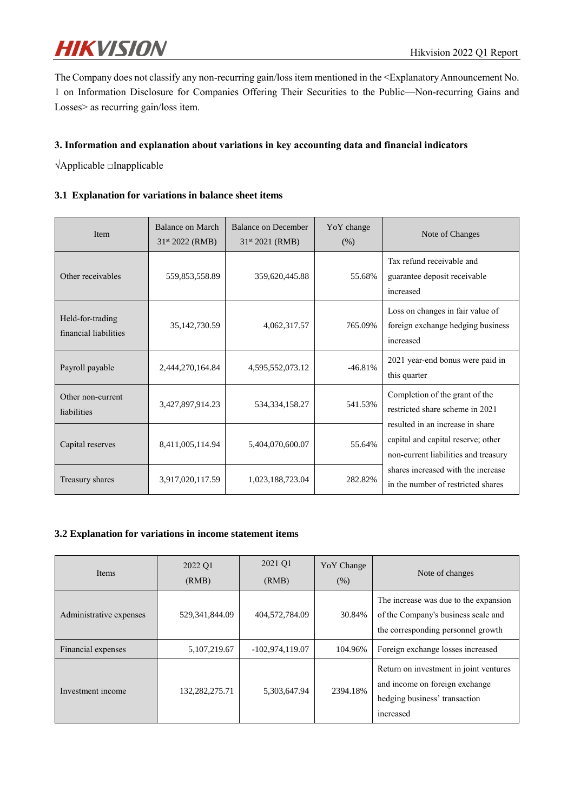

The Company does not classify any non-recurring gain/loss item mentioned in the <Explanatory Announcement No. 1 on Information Disclosure for Companies Offering Their Securities to the Public—Non-recurring Gains and Losses> as recurring gain/loss item.

#### **3. Information and explanation about variations in key accounting data and financial indicators**

√Applicable □Inapplicable

### **3.1 Explanation for variations in balance sheet items**

| Item                                      | Balance on March<br>$31st 2022$ (RMB) | Balance on December<br>31 <sup>st</sup> 2021 (RMB) | YoY change<br>(% ) | Note of Changes                                                                                       |
|-------------------------------------------|---------------------------------------|----------------------------------------------------|--------------------|-------------------------------------------------------------------------------------------------------|
| Other receivables                         | 559,853,558.89                        | 359,620,445.88                                     | 55.68%             | Tax refund receivable and<br>guarantee deposit receivable<br>increased                                |
| Held-for-trading<br>financial liabilities | 35, 142, 730.59                       | 4,062,317.57                                       | 765.09%            | Loss on changes in fair value of<br>foreign exchange hedging business<br>increased                    |
| Payroll payable                           | 2.444.270.164.84                      | 4,595,552,073.12                                   | $-46.81%$          | 2021 year-end bonus were paid in<br>this quarter                                                      |
| Other non-current<br>liabilities          | 3,427,897,914.23                      | 534, 334, 158. 27                                  | 541.53%            | Completion of the grant of the<br>restricted share scheme in 2021<br>resulted in an increase in share |
| Capital reserves                          | 8,411,005,114.94                      | 5,404,070,600.07                                   | 55.64%             | capital and capital reserve; other<br>non-current liabilities and treasury                            |
| Treasury shares                           | 3,917,020,117.59                      | 1,023,188,723.04                                   | 282.82%            | shares increased with the increase<br>in the number of restricted shares                              |

### **3.2 Explanation for variations in income statement items**

| <b>Items</b>            | 2022 Q1<br>(RMB)  | 2021 Q1<br>(RMB)  | YoY Change<br>(% ) | Note of changes                                                                                                        |
|-------------------------|-------------------|-------------------|--------------------|------------------------------------------------------------------------------------------------------------------------|
| Administrative expenses | 529, 341, 844. 09 | 404,572,784.09    | 30.84%             | The increase was due to the expansion<br>of the Company's business scale and<br>the corresponding personnel growth     |
| Financial expenses      | 5, 107, 219. 67   | $-102,974,119.07$ | 104.96%            | Foreign exchange losses increased                                                                                      |
| Investment income       | 132,282,275.71    | 5,303,647.94      | 2394.18%           | Return on investment in joint ventures<br>and income on foreign exchange<br>hedging business' transaction<br>increased |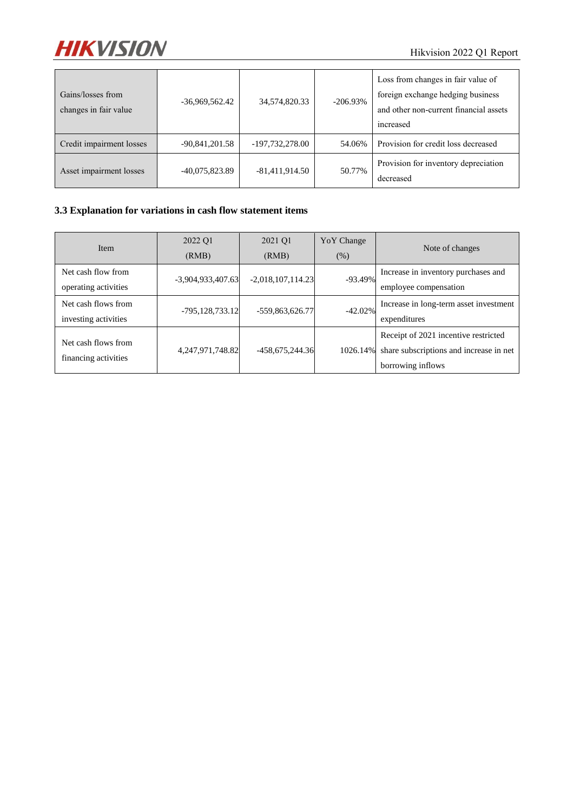

| Gains/losses from<br>changes in fair value | $-36,969,562.42$ | 34,574,820.33     | $-206.93\%$ | Loss from changes in fair value of<br>foreign exchange hedging business<br>and other non-current financial assets<br>increased |
|--------------------------------------------|------------------|-------------------|-------------|--------------------------------------------------------------------------------------------------------------------------------|
| Credit impairment losses                   | -90,841,201.58   | $-197,732,278.00$ | 54.06%      | Provision for credit loss decreased                                                                                            |
| Asset impairment losses                    | $-40,075,823.89$ | $-81,411,914.50$  | 50.77%      | Provision for inventory depreciation<br>decreased                                                                              |

# **3.3 Explanation for variations in cash flow statement items**

| <b>Item</b>                                 | 2022 Q1<br>(RMB)    | 2021 Q1<br>(RMB)    | YoY Change<br>(% ) | Note of changes                                                                                      |
|---------------------------------------------|---------------------|---------------------|--------------------|------------------------------------------------------------------------------------------------------|
| Net cash flow from<br>operating activities  | $-3,904,933,407.63$ | $-2,018,107,114.23$ | $-93.49%$          | Increase in inventory purchases and<br>employee compensation                                         |
| Net cash flows from<br>investing activities | -795,128,733.12     | -559,863,626.77     | $-42.02\%$         | Increase in long-term asset investment<br>expenditures                                               |
| Net cash flows from<br>financing activities | 4, 247, 971, 748.82 | -458,675,244.36     | 1026.14%           | Receipt of 2021 incentive restricted<br>share subscriptions and increase in net<br>borrowing inflows |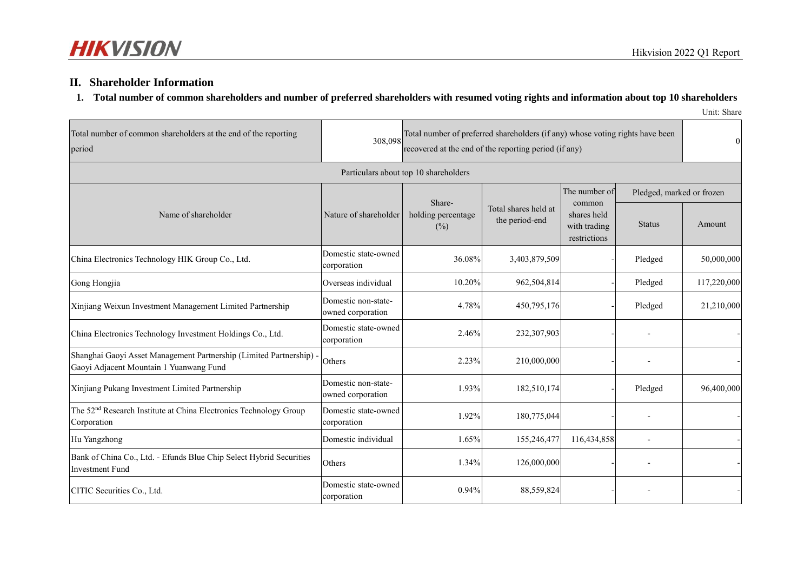## **II. Shareholder Information**

### **1. Total number of common shareholders and number of preferred shareholders with resumed voting rights and information about top 10 shareholders**

Unit: Share

| Total number of common shareholders at the end of the reporting<br>period                                      | 308,098                                  | Total number of preferred shareholders (if any) whose voting rights have been<br>recovered at the end of the reporting period (if any) |                                        |                                                                        | $\Omega$                                   |             |
|----------------------------------------------------------------------------------------------------------------|------------------------------------------|----------------------------------------------------------------------------------------------------------------------------------------|----------------------------------------|------------------------------------------------------------------------|--------------------------------------------|-------------|
|                                                                                                                |                                          | Particulars about top 10 shareholders                                                                                                  |                                        |                                                                        |                                            |             |
| Name of shareholder                                                                                            | Nature of shareholder                    | Share-<br>holding percentage<br>(%)                                                                                                    | Total shares held at<br>the period-end | The number of<br>common<br>shares held<br>with trading<br>restrictions | Pledged, marked or frozen<br><b>Status</b> | Amount      |
| China Electronics Technology HIK Group Co., Ltd.                                                               | Domestic state-owned<br>corporation      | 36.08%                                                                                                                                 | 3,403,879,509                          |                                                                        | Pledged                                    | 50,000,000  |
| Gong Hongjia                                                                                                   | Overseas individual                      | 10.20%                                                                                                                                 | 962,504,814                            |                                                                        | Pledged                                    | 117,220,000 |
| Xinjiang Weixun Investment Management Limited Partnership                                                      | Domestic non-state-<br>owned corporation | 4.78%                                                                                                                                  | 450,795,176                            |                                                                        | Pledged                                    | 21,210,000  |
| China Electronics Technology Investment Holdings Co., Ltd.                                                     | Domestic state-owned<br>corporation      | 2.46%                                                                                                                                  | 232,307,903                            |                                                                        |                                            |             |
| Shanghai Gaoyi Asset Management Partnership (Limited Partnership) -<br>Gaoyi Adjacent Mountain 1 Yuanwang Fund | Others                                   | 2.23%                                                                                                                                  | 210,000,000                            |                                                                        |                                            |             |
| Xinjiang Pukang Investment Limited Partnership                                                                 | Domestic non-state-<br>owned corporation | 1.93%                                                                                                                                  | 182,510,174                            |                                                                        | Pledged                                    | 96,400,000  |
| The 52 <sup>nd</sup> Research Institute at China Electronics Technology Group<br>Corporation                   | Domestic state-owned<br>corporation      | 1.92%                                                                                                                                  | 180,775,044                            |                                                                        |                                            |             |
| Hu Yangzhong                                                                                                   | Domestic individual                      | 1.65%                                                                                                                                  | 155,246,477                            | 116,434,858                                                            | $\overline{\phantom{0}}$                   |             |
| Bank of China Co., Ltd. - Efunds Blue Chip Select Hybrid Securities<br><b>Investment Fund</b>                  | Others                                   | 1.34%                                                                                                                                  | 126,000,000                            |                                                                        |                                            |             |
| CITIC Securities Co., Ltd.                                                                                     | Domestic state-owned<br>corporation      | 0.94%                                                                                                                                  | 88,559,824                             |                                                                        |                                            |             |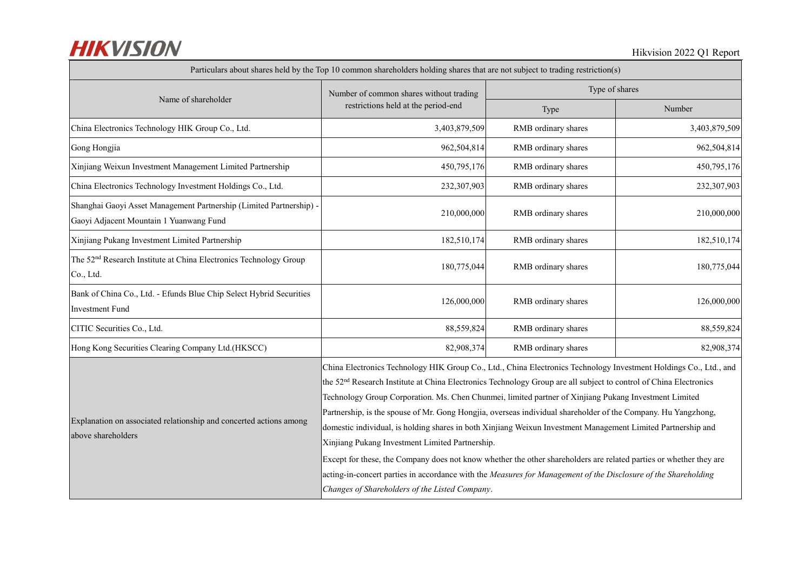| Particulars about shares held by the Top 10 common shareholders holding shares that are not subject to trading restriction(s) |                                                                                                                                                                                                                                                                                                                                                                                                                                                                                                                                                                                                                                                                                                                                                                                                                                                                                                                                           |                     |               |  |
|-------------------------------------------------------------------------------------------------------------------------------|-------------------------------------------------------------------------------------------------------------------------------------------------------------------------------------------------------------------------------------------------------------------------------------------------------------------------------------------------------------------------------------------------------------------------------------------------------------------------------------------------------------------------------------------------------------------------------------------------------------------------------------------------------------------------------------------------------------------------------------------------------------------------------------------------------------------------------------------------------------------------------------------------------------------------------------------|---------------------|---------------|--|
|                                                                                                                               | Number of common shares without trading                                                                                                                                                                                                                                                                                                                                                                                                                                                                                                                                                                                                                                                                                                                                                                                                                                                                                                   | Type of shares      |               |  |
| Name of shareholder                                                                                                           | restrictions held at the period-end                                                                                                                                                                                                                                                                                                                                                                                                                                                                                                                                                                                                                                                                                                                                                                                                                                                                                                       | Type                | Number        |  |
| China Electronics Technology HIK Group Co., Ltd.                                                                              | 3,403,879,509                                                                                                                                                                                                                                                                                                                                                                                                                                                                                                                                                                                                                                                                                                                                                                                                                                                                                                                             | RMB ordinary shares | 3,403,879,509 |  |
| Gong Hongjia                                                                                                                  | 962,504,814                                                                                                                                                                                                                                                                                                                                                                                                                                                                                                                                                                                                                                                                                                                                                                                                                                                                                                                               | RMB ordinary shares | 962,504,814   |  |
| Xinjiang Weixun Investment Management Limited Partnership                                                                     | 450,795,176                                                                                                                                                                                                                                                                                                                                                                                                                                                                                                                                                                                                                                                                                                                                                                                                                                                                                                                               | RMB ordinary shares | 450,795,176   |  |
| China Electronics Technology Investment Holdings Co., Ltd.                                                                    | 232,307,903                                                                                                                                                                                                                                                                                                                                                                                                                                                                                                                                                                                                                                                                                                                                                                                                                                                                                                                               | RMB ordinary shares | 232,307,903   |  |
| Shanghai Gaoyi Asset Management Partnership (Limited Partnership) -<br>Gaoyi Adjacent Mountain 1 Yuanwang Fund                | 210,000,000                                                                                                                                                                                                                                                                                                                                                                                                                                                                                                                                                                                                                                                                                                                                                                                                                                                                                                                               | RMB ordinary shares | 210,000,000   |  |
| Xinjiang Pukang Investment Limited Partnership                                                                                | 182,510,174                                                                                                                                                                                                                                                                                                                                                                                                                                                                                                                                                                                                                                                                                                                                                                                                                                                                                                                               | RMB ordinary shares | 182,510,174   |  |
| The 52 <sup>nd</sup> Research Institute at China Electronics Technology Group<br>Co., Ltd.                                    | 180,775,044                                                                                                                                                                                                                                                                                                                                                                                                                                                                                                                                                                                                                                                                                                                                                                                                                                                                                                                               | RMB ordinary shares | 180,775,044   |  |
| Bank of China Co., Ltd. - Efunds Blue Chip Select Hybrid Securities<br><b>Investment Fund</b>                                 | 126,000,000                                                                                                                                                                                                                                                                                                                                                                                                                                                                                                                                                                                                                                                                                                                                                                                                                                                                                                                               | RMB ordinary shares | 126,000,000   |  |
| CITIC Securities Co., Ltd.                                                                                                    | 88,559,824                                                                                                                                                                                                                                                                                                                                                                                                                                                                                                                                                                                                                                                                                                                                                                                                                                                                                                                                | RMB ordinary shares | 88,559,824    |  |
| Hong Kong Securities Clearing Company Ltd.(HKSCC)                                                                             | 82,908,374                                                                                                                                                                                                                                                                                                                                                                                                                                                                                                                                                                                                                                                                                                                                                                                                                                                                                                                                | RMB ordinary shares | 82,908,374    |  |
| Explanation on associated relationship and concerted actions among<br>above shareholders                                      | China Electronics Technology HIK Group Co., Ltd., China Electronics Technology Investment Holdings Co., Ltd., and<br>the 52 <sup>nd</sup> Research Institute at China Electronics Technology Group are all subject to control of China Electronics<br>Technology Group Corporation. Ms. Chen Chunmei, limited partner of Xinjiang Pukang Investment Limited<br>Partnership, is the spouse of Mr. Gong Hongjia, overseas individual shareholder of the Company. Hu Yangzhong,<br>domestic individual, is holding shares in both Xinjiang Weixun Investment Management Limited Partnership and<br>Xinjiang Pukang Investment Limited Partnership.<br>Except for these, the Company does not know whether the other shareholders are related parties or whether they are<br>acting-in-concert parties in accordance with the Measures for Management of the Disclosure of the Shareholding<br>Changes of Shareholders of the Listed Company. |                     |               |  |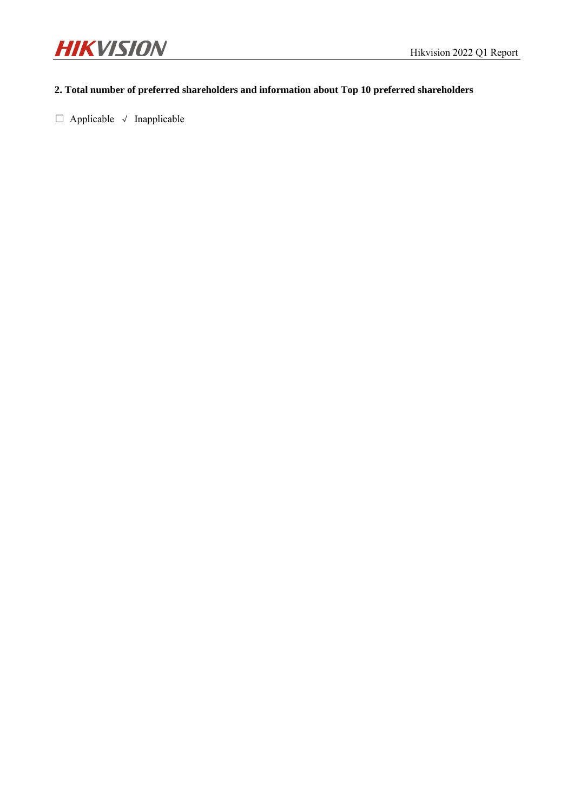

## **2. Total number of preferred shareholders and information about Top 10 preferred shareholders**

□ Applicable √ Inapplicable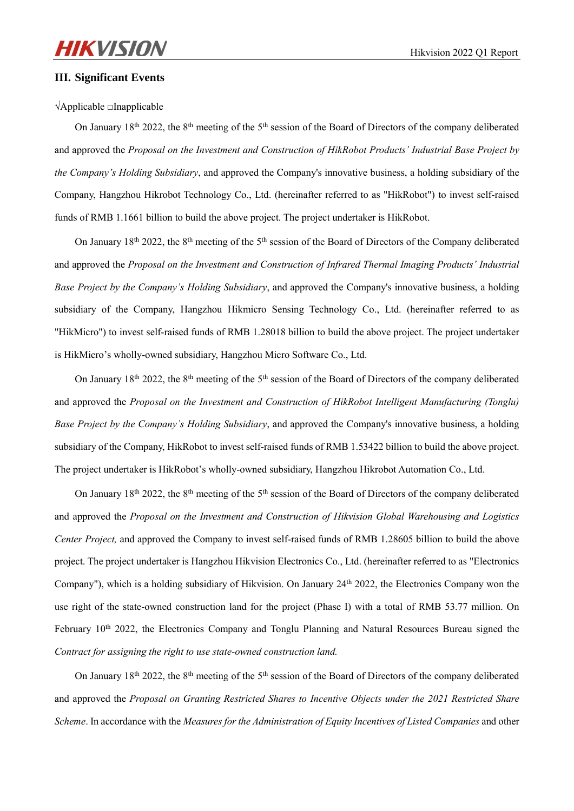#### **III. Significant Events**

√Applicable □Inapplicable

On January 18<sup>th</sup> 2022, the 8<sup>th</sup> meeting of the 5<sup>th</sup> session of the Board of Directors of the company deliberated and approved the *Proposal on the Investment and Construction of HikRobot Products' Industrial Base Project by the Company's Holding Subsidiary*, and approved the Company's innovative business, a holding subsidiary of the Company, Hangzhou Hikrobot Technology Co., Ltd. (hereinafter referred to as "HikRobot") to invest self-raised funds of RMB 1.1661 billion to build the above project. The project undertaker is HikRobot.

On January 18<sup>th</sup> 2022, the 8<sup>th</sup> meeting of the 5<sup>th</sup> session of the Board of Directors of the Company deliberated and approved the *Proposal on the Investment and Construction of Infrared Thermal Imaging Products' Industrial Base Project by the Company's Holding Subsidiary*, and approved the Company's innovative business, a holding subsidiary of the Company, Hangzhou Hikmicro Sensing Technology Co., Ltd. (hereinafter referred to as "HikMicro") to invest self-raised funds of RMB 1.28018 billion to build the above project. The project undertaker is HikMicro's wholly-owned subsidiary, Hangzhou Micro Software Co., Ltd.

On January 18th 2022, the 8th meeting of the 5th session of the Board of Directors of the company deliberated and approved the *Proposal on the Investment and Construction of HikRobot Intelligent Manufacturing (Tonglu) Base Project by the Company's Holding Subsidiary*, and approved the Company's innovative business, a holding subsidiary of the Company, HikRobot to invest self-raised funds of RMB 1.53422 billion to build the above project. The project undertaker is HikRobot's wholly-owned subsidiary, Hangzhou Hikrobot Automation Co., Ltd.

On January 18th 2022, the 8th meeting of the 5th session of the Board of Directors of the company deliberated and approved the *Proposal on the Investment and Construction of Hikvision Global Warehousing and Logistics Center Project,* and approved the Company to invest self-raised funds of RMB 1.28605 billion to build the above project. The project undertaker is Hangzhou Hikvision Electronics Co., Ltd. (hereinafter referred to as "Electronics Company"), which is a holding subsidiary of Hikvision. On January  $24<sup>th</sup> 2022$ , the Electronics Company won the use right of the state-owned construction land for the project (Phase I) with a total of RMB 53.77 million. On February 10<sup>th</sup> 2022, the Electronics Company and Tonglu Planning and Natural Resources Bureau signed the *Contract for assigning the right to use state-owned construction land.*

On January 18<sup>th</sup> 2022, the 8<sup>th</sup> meeting of the 5<sup>th</sup> session of the Board of Directors of the company deliberated and approved the *Proposal on Granting Restricted Shares to Incentive Objects under the 2021 Restricted Share Scheme*. In accordance with the *Measures for the Administration of Equity Incentives of Listed Companies* and other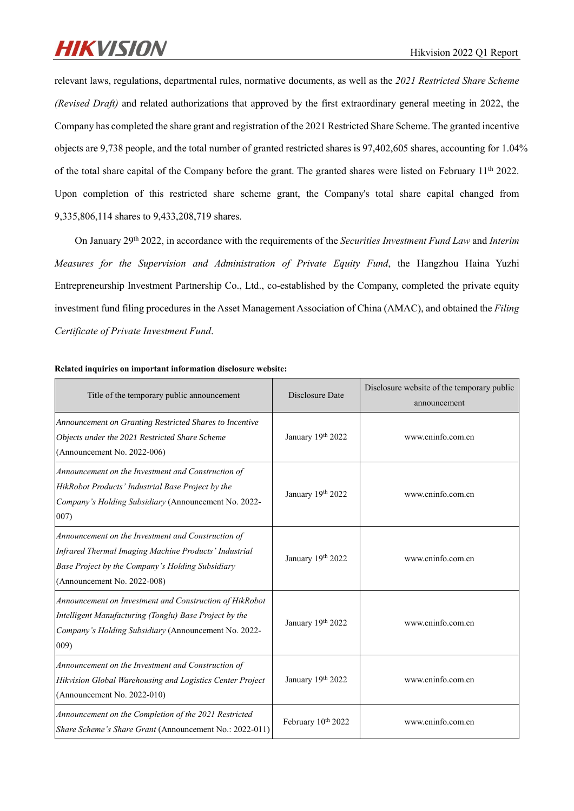relevant laws, regulations, departmental rules, normative documents, as well as the *2021 Restricted Share Scheme (Revised Draft)* and related authorizations that approved by the first extraordinary general meeting in 2022, the Company has completed the share grant and registration of the 2021 Restricted Share Scheme. The granted incentive objects are 9,738 people, and the total number of granted restricted shares is 97,402,605 shares, accounting for 1.04% of the total share capital of the Company before the grant. The granted shares were listed on February 11<sup>th</sup> 2022. Upon completion of this restricted share scheme grant, the Company's total share capital changed from 9,335,806,114 shares to 9,433,208,719 shares.

On January 29th 2022, in accordance with the requirements of the *Securities Investment Fund Law* and *Interim Measures for the Supervision and Administration of Private Equity Fund*, the Hangzhou Haina Yuzhi Entrepreneurship Investment Partnership Co., Ltd., co-established by the Company, completed the private equity investment fund filing procedures in the Asset Management Association of China (AMAC), and obtained the *Filing Certificate of Private Investment Fund*.

| Title of the temporary public announcement                                                                                                                                                     | Disclosure Date    | Disclosure website of the temporary public<br>announcement |
|------------------------------------------------------------------------------------------------------------------------------------------------------------------------------------------------|--------------------|------------------------------------------------------------|
| Announcement on Granting Restricted Shares to Incentive<br>Objects under the 2021 Restricted Share Scheme<br>(Announcement No. 2022-006)                                                       | January 19th 2022  | www.cninfo.com.cn                                          |
| Announcement on the Investment and Construction of<br>HikRobot Products' Industrial Base Project by the<br>Company's Holding Subsidiary (Announcement No. 2022-<br>007)                        | January 19th 2022  | www.cninfo.com.cn                                          |
| Announcement on the Investment and Construction of<br>Infrared Thermal Imaging Machine Products' Industrial<br>Base Project by the Company's Holding Subsidiary<br>(Announcement No. 2022-008) | January 19th 2022  | www.cninfo.com.cn                                          |
| Announcement on Investment and Construction of HikRobot<br>Intelligent Manufacturing (Tonglu) Base Project by the<br>Company's Holding Subsidiary (Announcement No. 2022-<br>009)              | January 19th 2022  | www.cninfo.com.cn                                          |
| Announcement on the Investment and Construction of<br>Hikvision Global Warehousing and Logistics Center Project<br>(Announcement No. 2022-010)                                                 | January 19th 2022  | www.cninfo.com.cn                                          |
| Announcement on the Completion of the 2021 Restricted<br>Share Scheme's Share Grant (Announcement No.: 2022-011)                                                                               | February 10th 2022 | www.cninfo.com.cn                                          |

**Related inquiries on important information disclosure website:**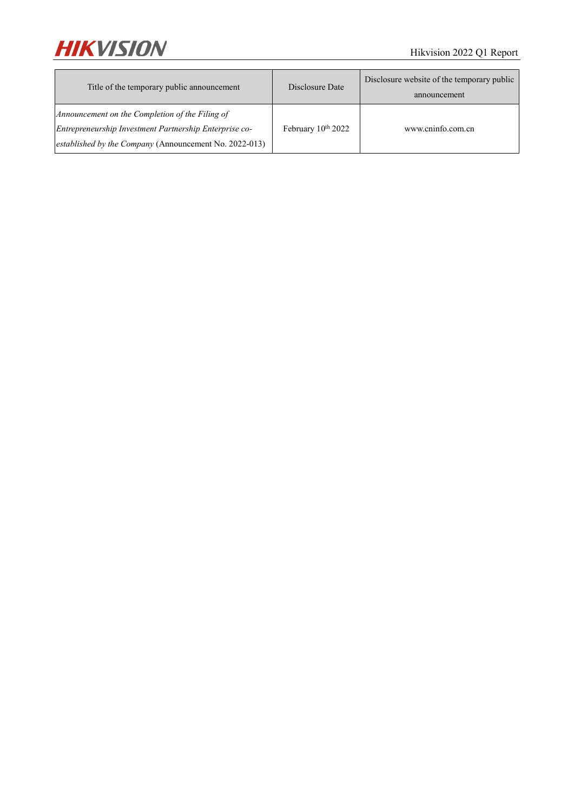

| Title of the temporary public announcement                                                                | Disclosure Date    | Disclosure website of the temporary public<br>announcement |
|-----------------------------------------------------------------------------------------------------------|--------------------|------------------------------------------------------------|
| Announcement on the Completion of the Filing of<br>Entrepreneurship Investment Partnership Enterprise co- | February 10th 2022 | www.cninfo.com.cn                                          |
| established by the Company (Announcement No. 2022-013)                                                    |                    |                                                            |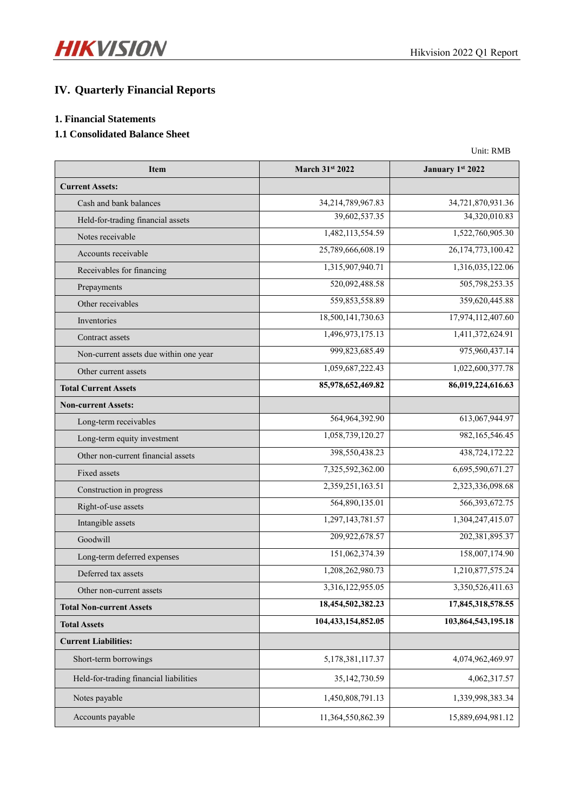# **IV. Quarterly Financial Reports**

## **1. Financial Statements**

## **1.1 Consolidated Balance Sheet**

| Unit: RMB |
|-----------|
|           |
|           |

| <b>Item</b>                            | March 31st 2022    | January 1st 2022   |
|----------------------------------------|--------------------|--------------------|
| <b>Current Assets:</b>                 |                    |                    |
| Cash and bank balances                 | 34,214,789,967.83  | 34,721,870,931.36  |
| Held-for-trading financial assets      | 39,602,537.35      | 34,320,010.83      |
| Notes receivable                       | 1,482,113,554.59   | 1,522,760,905.30   |
| Accounts receivable                    | 25,789,666,608.19  | 26,174,773,100.42  |
| Receivables for financing              | 1,315,907,940.71   | 1,316,035,122.06   |
| Prepayments                            | 520,092,488.58     | 505,798,253.35     |
| Other receivables                      | 559,853,558.89     | 359,620,445.88     |
| Inventories                            | 18,500,141,730.63  | 17,974,112,407.60  |
| Contract assets                        | 1,496,973,175.13   | 1,411,372,624.91   |
| Non-current assets due within one year | 999,823,685.49     | 975,960,437.14     |
| Other current assets                   | 1,059,687,222.43   | 1,022,600,377.78   |
| <b>Total Current Assets</b>            | 85,978,652,469.82  | 86,019,224,616.63  |
| <b>Non-current Assets:</b>             |                    |                    |
| Long-term receivables                  | 564,964,392.90     | 613,067,944.97     |
| Long-term equity investment            | 1,058,739,120.27   | 982,165,546.45     |
| Other non-current financial assets     | 398,550,438.23     | 438,724,172.22     |
| Fixed assets                           | 7,325,592,362.00   | 6,695,590,671.27   |
| Construction in progress               | 2,359,251,163.51   | 2,323,336,098.68   |
| Right-of-use assets                    | 564,890,135.01     | 566, 393, 672. 75  |
| Intangible assets                      | 1,297,143,781.57   | 1,304,247,415.07   |
| Goodwill                               | 209,922,678.57     | 202,381,895.37     |
| Long-term deferred expenses            | 151,062,374.39     | 158,007,174.90     |
| Deferred tax assets                    | 1,208,262,980.73   | 1,210,877,575.24   |
| Other non-current assets               | 3,316,122,955.05   | 3,350,526,411.63   |
| <b>Total Non-current Assets</b>        | 18,454,502,382.23  | 17,845,318,578.55  |
| <b>Total Assets</b>                    | 104,433,154,852.05 | 103,864,543,195.18 |
| <b>Current Liabilities:</b>            |                    |                    |
| Short-term borrowings                  | 5,178,381,117.37   | 4,074,962,469.97   |
| Held-for-trading financial liabilities | 35,142,730.59      | 4,062,317.57       |
| Notes payable                          | 1,450,808,791.13   | 1,339,998,383.34   |
| Accounts payable                       | 11,364,550,862.39  | 15,889,694,981.12  |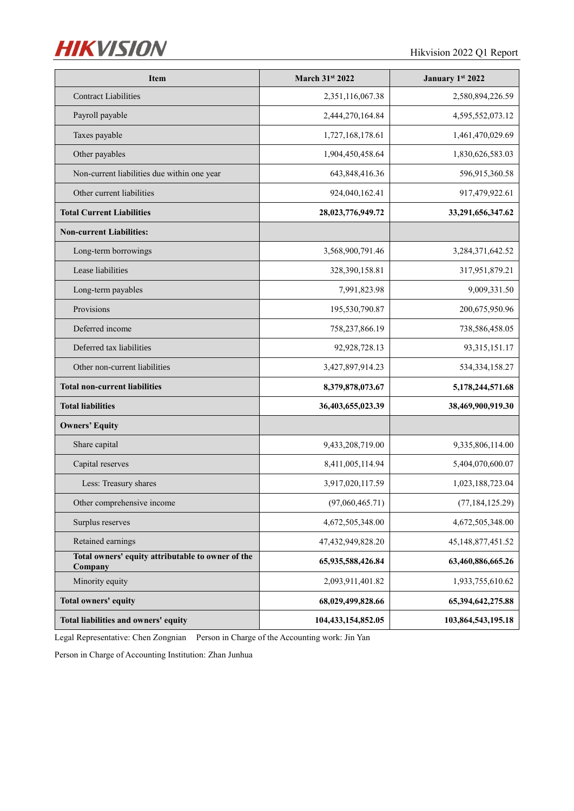

| <b>Item</b>                                                  | March 31st 2022    | January 1st 2022   |
|--------------------------------------------------------------|--------------------|--------------------|
| <b>Contract Liabilities</b>                                  | 2,351,116,067.38   | 2,580,894,226.59   |
| Payroll payable                                              | 2,444,270,164.84   | 4,595,552,073.12   |
| Taxes payable                                                | 1,727,168,178.61   | 1,461,470,029.69   |
| Other payables                                               | 1,904,450,458.64   | 1,830,626,583.03   |
| Non-current liabilities due within one year                  | 643,848,416.36     | 596,915,360.58     |
| Other current liabilities                                    | 924,040,162.41     | 917,479,922.61     |
| <b>Total Current Liabilities</b>                             | 28,023,776,949.72  | 33,291,656,347.62  |
| <b>Non-current Liabilities:</b>                              |                    |                    |
| Long-term borrowings                                         | 3,568,900,791.46   | 3,284,371,642.52   |
| Lease liabilities                                            | 328,390,158.81     | 317,951,879.21     |
| Long-term payables                                           | 7,991,823.98       | 9,009,331.50       |
| Provisions                                                   | 195,530,790.87     | 200,675,950.96     |
| Deferred income                                              | 758,237,866.19     | 738,586,458.05     |
| Deferred tax liabilities                                     | 92,928,728.13      | 93, 315, 151. 17   |
| Other non-current liabilities                                | 3,427,897,914.23   | 534, 334, 158. 27  |
| <b>Total non-current liabilities</b>                         | 8,379,878,073.67   | 5,178,244,571.68   |
| <b>Total liabilities</b>                                     | 36,403,655,023.39  | 38,469,900,919.30  |
| <b>Owners' Equity</b>                                        |                    |                    |
| Share capital                                                | 9,433,208,719.00   | 9,335,806,114.00   |
| Capital reserves                                             | 8,411,005,114.94   | 5,404,070,600.07   |
| Less: Treasury shares                                        | 3,917,020,117.59   | 1,023,188,723.04   |
| Other comprehensive income                                   | (97,060,465.71)    | (77, 184, 125.29)  |
| Surplus reserves                                             | 4,672,505,348.00   | 4,672,505,348.00   |
| Retained earnings                                            | 47,432,949,828.20  | 45,148,877,451.52  |
| Total owners' equity attributable to owner of the<br>Company | 65,935,588,426.84  | 63,460,886,665.26  |
| Minority equity                                              | 2,093,911,401.82   | 1,933,755,610.62   |
| Total owners' equity                                         | 68,029,499,828.66  | 65,394,642,275.88  |
| Total liabilities and owners' equity                         | 104,433,154,852.05 | 103,864,543,195.18 |

Legal Representative: Chen Zongnian Person in Charge of the Accounting work: Jin Yan

Person in Charge of Accounting Institution: Zhan Junhua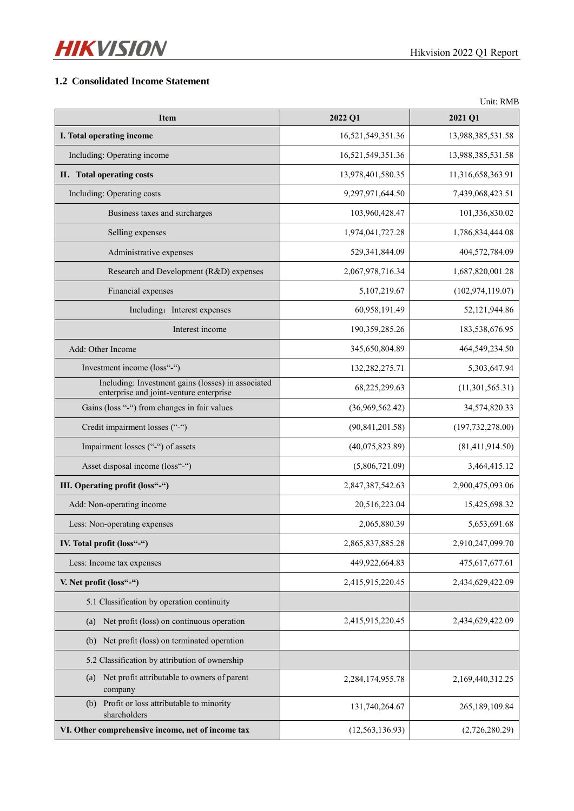

### **1.2 Consolidated Income Statement**

|                                                                                               |                   | Unit: RMB          |
|-----------------------------------------------------------------------------------------------|-------------------|--------------------|
| <b>Item</b>                                                                                   | 2022 Q1           | 2021 Q1            |
| I. Total operating income                                                                     | 16,521,549,351.36 | 13,988,385,531.58  |
| Including: Operating income                                                                   | 16,521,549,351.36 | 13,988,385,531.58  |
| II. Total operating costs                                                                     | 13,978,401,580.35 | 11,316,658,363.91  |
| Including: Operating costs                                                                    | 9,297,971,644.50  | 7,439,068,423.51   |
| Business taxes and surcharges                                                                 | 103,960,428.47    | 101,336,830.02     |
| Selling expenses                                                                              | 1,974,041,727.28  | 1,786,834,444.08   |
| Administrative expenses                                                                       | 529,341,844.09    | 404,572,784.09     |
| Research and Development (R&D) expenses                                                       | 2,067,978,716.34  | 1,687,820,001.28   |
| Financial expenses                                                                            | 5,107,219.67      | (102, 974, 119.07) |
| Including: Interest expenses                                                                  | 60,958,191.49     | 52,121,944.86      |
| Interest income                                                                               | 190,359,285.26    | 183,538,676.95     |
| Add: Other Income                                                                             | 345,650,804.89    | 464,549,234.50     |
| Investment income (loss"-")                                                                   | 132,282,275.71    | 5,303,647.94       |
| Including: Investment gains (losses) in associated<br>enterprise and joint-venture enterprise | 68,225,299.63     | (11,301,565.31)    |
| Gains (loss "-") from changes in fair values                                                  | (36,969,562.42)   | 34,574,820.33      |
| Credit impairment losses ("-")                                                                | (90, 841, 201.58) | (197, 732, 278.00) |
| Impairment losses ("-") of assets                                                             | (40,075,823.89)   | (81, 411, 914.50)  |
| Asset disposal income (loss"-")                                                               | (5,806,721.09)    | 3,464,415.12       |
| III. Operating profit (loss"-")                                                               | 2,847,387,542.63  | 2,900,475,093.06   |
| Add: Non-operating income                                                                     | 20,516,223.04     | 15,425,698.32      |
| Less: Non-operating expenses                                                                  | 2,065,880.39      | 5,653,691.68       |
| IV. Total profit (loss"-")                                                                    | 2,865,837,885.28  | 2,910,247,099.70   |
| Less: Income tax expenses                                                                     | 449,922,664.83    | 475,617,677.61     |
| V. Net profit (loss"-")                                                                       | 2,415,915,220.45  | 2,434,629,422.09   |
| 5.1 Classification by operation continuity                                                    |                   |                    |
| Net profit (loss) on continuous operation<br>(a)                                              | 2,415,915,220.45  | 2,434,629,422.09   |
| Net profit (loss) on terminated operation<br>(b)                                              |                   |                    |
| 5.2 Classification by attribution of ownership                                                |                   |                    |
| Net profit attributable to owners of parent<br>(a)<br>company                                 | 2,284,174,955.78  | 2,169,440,312.25   |
| (b) Profit or loss attributable to minority<br>shareholders                                   | 131,740,264.67    | 265,189,109.84     |
| VI. Other comprehensive income, net of income tax                                             | (12, 563, 136.93) | (2,726,280.29)     |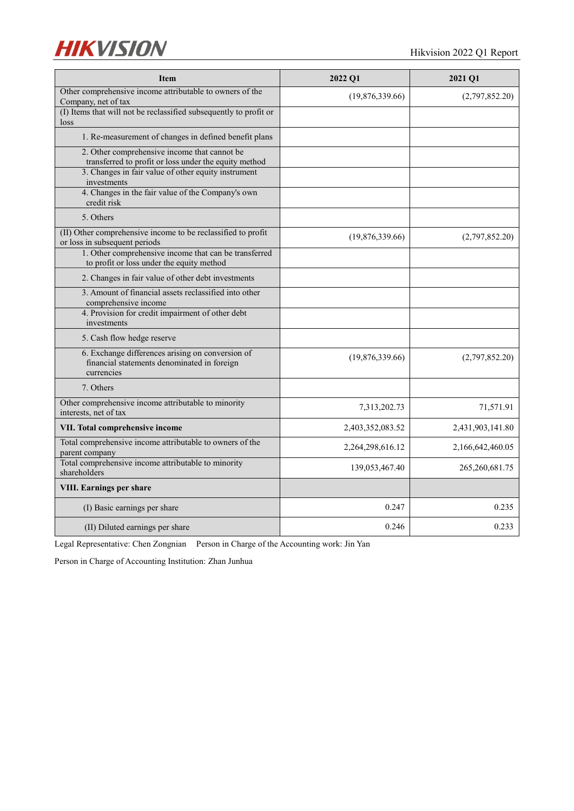

| <b>Item</b>                                                                                                   | 2022 Q1          | 2021 Q1          |
|---------------------------------------------------------------------------------------------------------------|------------------|------------------|
| Other comprehensive income attributable to owners of the<br>Company, net of tax                               | (19,876,339.66)  | (2,797,852.20)   |
| (I) Items that will not be reclassified subsequently to profit or<br>loss                                     |                  |                  |
| 1. Re-measurement of changes in defined benefit plans                                                         |                  |                  |
| 2. Other comprehensive income that cannot be<br>transferred to profit or loss under the equity method         |                  |                  |
| 3. Changes in fair value of other equity instrument<br>investments                                            |                  |                  |
| 4. Changes in the fair value of the Company's own<br>credit risk                                              |                  |                  |
| 5. Others                                                                                                     |                  |                  |
| (II) Other comprehensive income to be reclassified to profit<br>or loss in subsequent periods                 | (19,876,339.66)  | (2,797,852.20)   |
| 1. Other comprehensive income that can be transferred<br>to profit or loss under the equity method            |                  |                  |
| 2. Changes in fair value of other debt investments                                                            |                  |                  |
| 3. Amount of financial assets reclassified into other<br>comprehensive income                                 |                  |                  |
| 4. Provision for credit impairment of other debt<br>investments                                               |                  |                  |
| 5. Cash flow hedge reserve                                                                                    |                  |                  |
| 6. Exchange differences arising on conversion of<br>financial statements denominated in foreign<br>currencies | (19,876,339.66)  | (2,797,852.20)   |
| 7. Others                                                                                                     |                  |                  |
| Other comprehensive income attributable to minority<br>interests, net of tax                                  | 7,313,202.73     | 71,571.91        |
| VII. Total comprehensive income                                                                               | 2,403,352,083.52 | 2,431,903,141.80 |
| Total comprehensive income attributable to owners of the<br>parent company                                    | 2,264,298,616.12 | 2,166,642,460.05 |
| Total comprehensive income attributable to minority<br>shareholders                                           | 139,053,467.40   | 265,260,681.75   |
| <b>VIII. Earnings per share</b>                                                                               |                  |                  |
| (I) Basic earnings per share                                                                                  | 0.247            | 0.235            |
| (II) Diluted earnings per share                                                                               | 0.246            | 0.233            |

Legal Representative: Chen Zongnian Person in Charge of the Accounting work: Jin Yan

Person in Charge of Accounting Institution: Zhan Junhua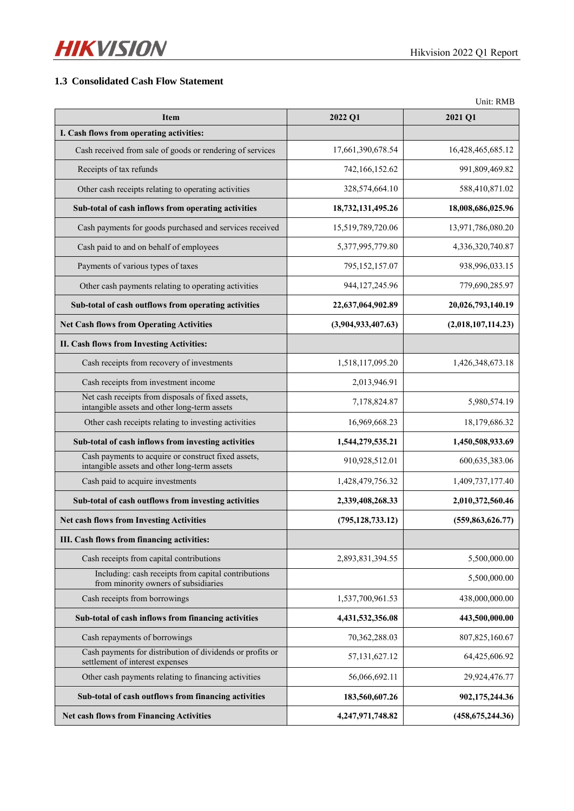

## **1.3 Consolidated Cash Flow Statement**

|                                                                                                     |                    | Unit: RMB          |
|-----------------------------------------------------------------------------------------------------|--------------------|--------------------|
| <b>Item</b>                                                                                         | 2022 Q1            | 2021 Q1            |
| I. Cash flows from operating activities:                                                            |                    |                    |
| Cash received from sale of goods or rendering of services                                           | 17,661,390,678.54  | 16,428,465,685.12  |
| Receipts of tax refunds                                                                             | 742, 166, 152. 62  | 991,809,469.82     |
| Other cash receipts relating to operating activities                                                | 328,574,664.10     | 588,410,871.02     |
| Sub-total of cash inflows from operating activities                                                 | 18,732,131,495.26  | 18,008,686,025.96  |
| Cash payments for goods purchased and services received                                             | 15,519,789,720.06  | 13,971,786,080.20  |
| Cash paid to and on behalf of employees                                                             | 5,377,995,779.80   | 4,336,320,740.87   |
| Payments of various types of taxes                                                                  | 795,152,157.07     | 938,996,033.15     |
| Other cash payments relating to operating activities                                                | 944, 127, 245. 96  | 779,690,285.97     |
| Sub-total of cash outflows from operating activities                                                | 22,637,064,902.89  | 20,026,793,140.19  |
| <b>Net Cash flows from Operating Activities</b>                                                     | (3,904,933,407.63) | (2,018,107,114.23) |
| II. Cash flows from Investing Activities:                                                           |                    |                    |
| Cash receipts from recovery of investments                                                          | 1,518,117,095.20   | 1,426,348,673.18   |
| Cash receipts from investment income                                                                | 2,013,946.91       |                    |
| Net cash receipts from disposals of fixed assets,<br>intangible assets and other long-term assets   | 7,178,824.87       | 5,980,574.19       |
| Other cash receipts relating to investing activities                                                | 16,969,668.23      | 18,179,686.32      |
| Sub-total of cash inflows from investing activities                                                 | 1,544,279,535.21   | 1,450,508,933.69   |
| Cash payments to acquire or construct fixed assets,<br>intangible assets and other long-term assets | 910,928,512.01     | 600, 635, 383. 06  |
| Cash paid to acquire investments                                                                    | 1,428,479,756.32   | 1,409,737,177.40   |
| Sub-total of cash outflows from investing activities                                                | 2,339,408,268.33   | 2,010,372,560.46   |
| <b>Net cash flows from Investing Activities</b>                                                     | (795, 128, 733.12) | (559, 863, 626.77) |
| III. Cash flows from financing activities:                                                          |                    |                    |
| Cash receipts from capital contributions                                                            | 2,893,831,394.55   | 5,500,000.00       |
| Including: cash receipts from capital contributions<br>from minority owners of subsidiaries         |                    | 5,500,000.00       |
| Cash receipts from borrowings                                                                       | 1,537,700,961.53   | 438,000,000.00     |
| Sub-total of cash inflows from financing activities                                                 | 4,431,532,356.08   | 443,500,000.00     |
| Cash repayments of borrowings                                                                       | 70,362,288.03      | 807, 825, 160. 67  |
| Cash payments for distribution of dividends or profits or<br>settlement of interest expenses        | 57, 131, 627. 12   | 64,425,606.92      |
| Other cash payments relating to financing activities                                                | 56,066,692.11      | 29,924,476.77      |
| Sub-total of cash outflows from financing activities                                                | 183,560,607.26     | 902,175,244.36     |
| <b>Net cash flows from Financing Activities</b>                                                     | 4,247,971,748.82   | (458, 675, 244.36) |